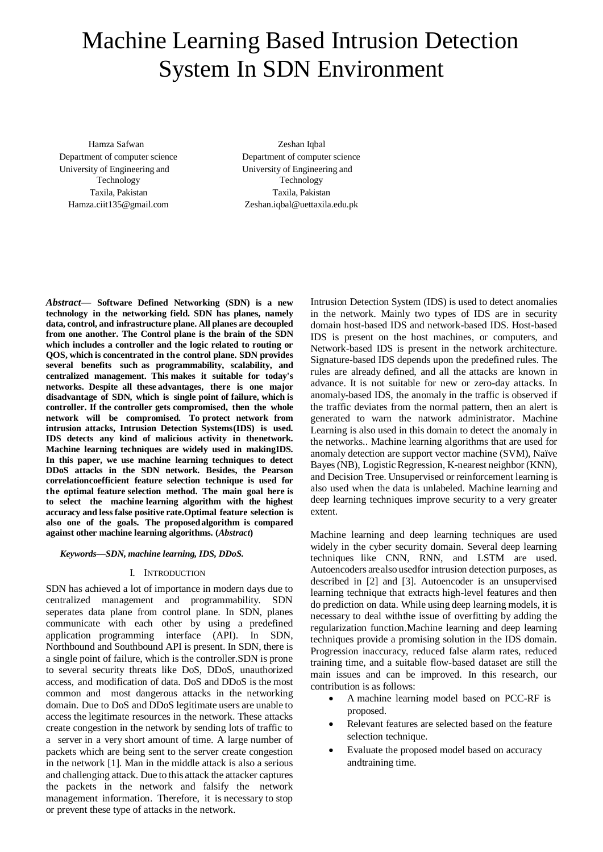# Machine Learning Based Intrusion Detection System In SDN Environment

Hamza Safwan Department of computer science University of Engineering and Technology Taxila, Pakistan [Hamza.ciit135@gmail.com](mailto:Hamza.ciit135@gmail.com)

Zeshan Iqbal Department of computer science University of Engineering and Technology Taxila, Pakistan [Zeshan.iqbal@uettaxila.edu.pk](mailto:Zeshan.iqbal@uettaxila.edu.pk)

*Abstract***— Software Defined Networking (SDN) is a new technology in the networking field. SDN has planes, namely data, control, and infrastructure plane. All planes are decoupled from one another. The Control plane is the brain of the SDN which includes a controller and the logic related to routing or QOS, which is concentrated in the control plane. SDN provides several benefits such as programmability, scalability, and centralized management. This makes it suitable for today's networks. Despite all these advantages, there is one major disadvantage of SDN, which is single point of failure, which is controller. If the controller gets compromised, then the whole network will be compromised. To protect network from intrusion attacks, Intrusion Detection Systems(IDS) is used. IDS detects any kind of malicious activity in thenetwork. Machine learning techniques are widely used in makingIDS. In this paper, we use machine learning techniques to detect DDoS attacks in the SDN network. Besides, the Pearson correlationcoefficient feature selection technique is used for the optimal feature selection method. The main goal here is to select the machine learning algorithm with the highest accuracy and lessfalse positive rate.Optimal feature selection is also one of the goals. The proposedalgorithm is compared against other machine learning algorithms. (***Abstract***)**

*Keywords—SDN, machine learning, IDS, DDoS.*

#### I. INTRODUCTION

SDN has achieved a lot of importance in modern days due to centralized management and programmability. SDN seperates data plane from control plane. In SDN, planes communicate with each other by using a predefined application programming interface (API). In SDN, Northbound and Southbound API is present. In SDN, there is a single point of failure, which is the controller.SDN is prone to several security threats like DoS, DDoS, unauthorized access, and modification of data. DoS and DDoS is the most common and most dangerous attacks in the networking domain. Due to DoS and DDoS legitimate users are unable to access the legitimate resources in the network. These attacks create congestion in the network by sending lots of traffic to a server in a very short amount of time. A large number of packets which are being sent to the server create congestion in the network [1]. Man in the middle attack is also a serious and challenging attack. Due to this attack the attacker captures the packets in the network and falsify the network management information. Therefore, it is necessary to stop or prevent these type of attacks in the network.

Intrusion Detection System (IDS) is used to detect anomalies in the network. Mainly two types of IDS are in security domain host-based IDS and network-based IDS. Host-based IDS is present on the host machines, or computers, and Network-based IDS is present in the network architecture. Signature-based IDS depends upon the predefined rules. The rules are already defined, and all the attacks are known in advance. It is not suitable for new or zero-day attacks. In anomaly-based IDS, the anomaly in the traffic is observed if the traffic deviates from the normal pattern, then an alert is generated to warn the natwork administrator. Machine Learning is also used in this domain to detect the anomaly in the networks.. Machine learning algorithms that are used for anomaly detection are support vector machine (SVM), Naïve Bayes (NB), Logistic Regression, K-nearest neighbor (KNN), and Decision Tree. Unsupervised or reinforcement learning is also used when the data is unlabeled. Machine learning and deep learning techniques improve security to a very greater extent.

Machine learning and deep learning techniques are used widely in the cyber security domain. Several deep learning techniques like CNN, RNN, and LSTM are used. Autoencoders are also usedfor intrusion detection purposes, as described in [2] and [3]. Autoencoder is an unsupervised learning technique that extracts high-level features and then do prediction on data. While using deep learning models, it is necessary to deal withthe issue of overfitting by adding the regularization function.Machine learning and deep learning techniques provide a promising solution in the IDS domain. Progression inaccuracy, reduced false alarm rates, reduced training time, and a suitable flow-based dataset are still the main issues and can be improved. In this research, our contribution is as follows:

- A machine learning model based on PCC-RF is proposed.
- Relevant features are selected based on the feature selection technique.
- Evaluate the proposed model based on accuracy andtraining time.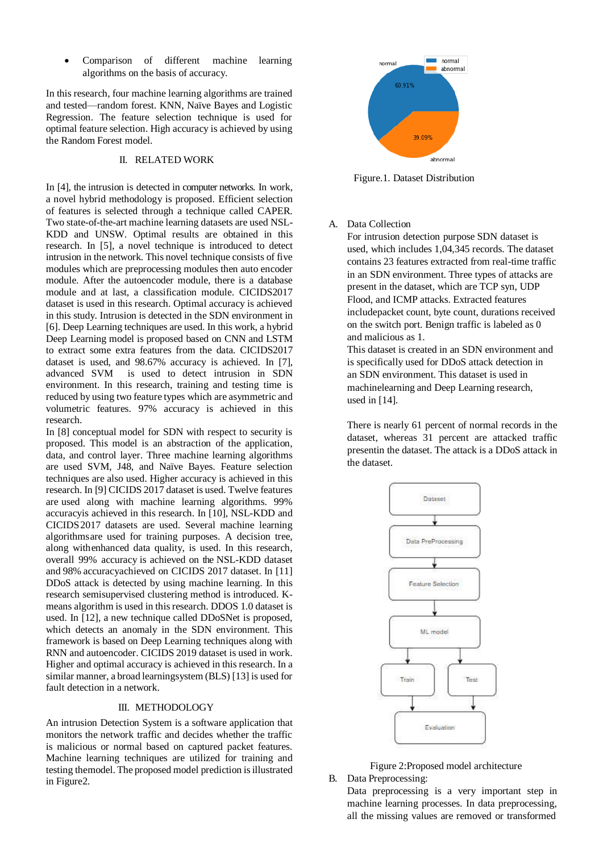Comparison of different machine learning algorithms on the basis of accuracy.

In this research, four machine learning algorithms are trained and tested—random forest. KNN, Naïve Bayes and Logistic Regression. The feature selection technique is used for optimal feature selection. High accuracy is achieved by using the Random Forest model.

#### II. RELATED WORK

In [4], the intrusion is detected in computer networks. In work, a novel hybrid methodology is proposed. Efficient selection of features is selected through a technique called CAPER. Two state-of-the-art machine learning datasets are used NSL-KDD and UNSW. Optimal results are obtained in this research. In [5], a novel technique is introduced to detect intrusion in the network. This novel technique consists of five modules which are preprocessing modules then auto encoder module. After the autoencoder module, there is a database module and at last, a classification module. CICIDS2017 dataset is used in this research. Optimal accuracy is achieved in this study. Intrusion is detected in the SDN environment in [6]. Deep Learning techniques are used. In this work, a hybrid Deep Learning model is proposed based on CNN and LSTM to extract some extra features from the data. CICIDS2017 dataset is used, and 98.67% accuracy is achieved. In [7], advanced SVM is used to detect intrusion in SDN environment. In this research, training and testing time is reduced by using two feature types which are asymmetric and volumetric features. 97% accuracy is achieved in this research.

In [8] conceptual model for SDN with respect to security is proposed. This model is an abstraction of the application, data, and control layer. Three machine learning algorithms are used SVM, J48, and Naïve Bayes. Feature selection techniques are also used. Higher accuracy is achieved in this research. In [9] CICIDS 2017 dataset is used. Twelve features are used along with machine learning algorithms. 99% accuracyis achieved in this research. In [10], NSL-KDD and CICIDS2017 datasets are used. Several machine learning algorithmsare used for training purposes. A decision tree, along withenhanced data quality, is used. In this research, overall 99% accuracy is achieved on the NSL-KDD dataset and 98% accuracyachieved on CICIDS 2017 dataset. In [11] DDoS attack is detected by using machine learning. In this research semisupervised clustering method is introduced. Kmeans algorithm is used in this research. DDOS 1.0 dataset is used. In [12], a new technique called DDoSNet is proposed, which detects an anomaly in the SDN environment. This framework is based on Deep Learning techniques along with RNN and autoencoder. CICIDS 2019 dataset is used in work. Higher and optimal accuracy is achieved in thisresearch. In a similar manner, a broad learningsystem (BLS) [13] is used for fault detection in a network.

## III. METHODOLOGY

An intrusion Detection System is a software application that monitors the network traffic and decides whether the traffic is malicious or normal based on captured packet features. Machine learning techniques are utilized for training and testing themodel. The proposed model prediction is illustrated in Figure2.



Figure.1. Dataset Distribution

#### A. Data Collection

For intrusion detection purpose SDN dataset is used, which includes 1,04,345 records. The dataset contains 23 features extracted from real-time traffic in an SDN environment. Three types of attacks are present in the dataset, which are TCP syn, UDP Flood, and ICMP attacks. Extracted features includepacket count, byte count, durations received on the switch port. Benign traffic is labeled as 0 and malicious as 1.

This dataset is created in an SDN environment and is specifically used for DDoS attack detection in an SDN environment. This dataset is used in machinelearning and Deep Learning research, used in [14].

There is nearly 61 percent of normal records in the dataset, whereas 31 percent are attacked traffic presentin the dataset. The attack is a DDoS attack in the dataset.



Figure 2:Proposed model architecture B. Data Preprocessing:

Data preprocessing is a very important step in machine learning processes. In data preprocessing, all the missing values are removed or transformed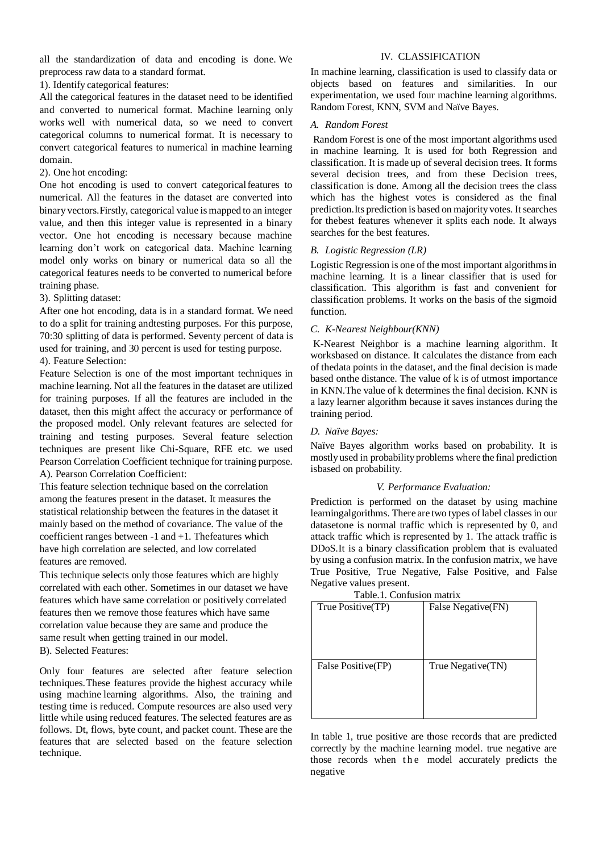all the standardization of data and encoding is done. We preprocess raw data to a standard format.

1). Identify categorical features:

All the categorical features in the dataset need to be identified and converted to numerical format. Machine learning only works well with numerical data, so we need to convert categorical columns to numerical format. It is necessary to convert categorical features to numerical in machine learning domain.

## 2). One hot encoding:

One hot encoding is used to convert categorical features to numerical. All the features in the dataset are converted into binary vectors.Firstly, categorical value is mapped to an integer value, and then this integer value is represented in a binary vector. One hot encoding is necessary because machine learning don't work on categorical data. Machine learning model only works on binary or numerical data so all the categorical features needs to be converted to numerical before training phase.

## 3). Splitting dataset:

After one hot encoding, data is in a standard format. We need to do a split for training andtesting purposes. For this purpose, 70:30 splitting of data is performed. Seventy percent of data is used for training, and 30 percent is used for testing purpose.

## 4). Feature Selection:

Feature Selection is one of the most important techniques in machine learning. Not all the features in the dataset are utilized for training purposes. If all the features are included in the dataset, then this might affect the accuracy or performance of the proposed model. Only relevant features are selected for training and testing purposes. Several feature selection techniques are present like Chi-Square, RFE etc. we used Pearson Correlation Coefficient technique for training purpose. A). Pearson Correlation Coefficient:

This feature selection technique based on the correlation among the features present in the dataset. It measures the statistical relationship between the features in the dataset it mainly based on the method of covariance. The value of the coefficient ranges between -1 and +1. Thefeatures which have high correlation are selected, and low correlated features are removed.

This technique selects only those features which are highly correlated with each other. Sometimes in our dataset we have features which have same correlation or positively correlated features then we remove those features which have same correlation value because they are same and produce the same result when getting trained in our model. B). Selected Features:

Only four features are selected after feature selection techniques.These features provide the highest accuracy while using machine learning algorithms. Also, the training and testing time is reduced. Compute resources are also used very little while using reduced features. The selected features are as follows. Dt, flows, byte count, and packet count. These are the features that are selected based on the feature selection technique.

## IV. CLASSIFICATION

In machine learning, classification is used to classify data or objects based on features and similarities. In our experimentation, we used four machine learning algorithms. Random Forest, KNN, SVM and Naïve Bayes.

## *A. Random Forest*

Random Forest is one of the most important algorithms used in machine learning. It is used for both Regression and classification. It is made up of several decision trees. It forms several decision trees, and from these Decision trees, classification is done. Among all the decision trees the class which has the highest votes is considered as the final prediction. Its prediction is based on majority votes. It searches for thebest features whenever it splits each node. It always searches for the best features.

## *B. Logistic Regression (LR)*

Logistic Regression is one of the most important algorithms in machine learning. It is a linear classifier that is used for classification. This algorithm is fast and convenient for classification problems. It works on the basis of the sigmoid function.

## *C. K-Nearest Neighbour(KNN)*

K-Nearest Neighbor is a machine learning algorithm. It worksbased on distance. It calculates the distance from each of thedata points in the dataset, and the final decision is made based onthe distance. The value of k is of utmost importance in KNN.The value of k determines the final decision. KNN is a lazy learner algorithm because it saves instances during the training period.

## *D. Naïve Bayes:*

Naïve Bayes algorithm works based on probability. It is mostlyused in probability problems where the final prediction isbased on probability.

#### *V. Performance Evaluation:*

Prediction is performed on the dataset by using machine learningalgorithms. There are two types of label classes in our datasetone is normal traffic which is represented by 0, and attack traffic which is represented by 1. The attack traffic is DDoS.It is a binary classification problem that is evaluated by using a confusion matrix. In the confusion matrix, we have True Positive, True Negative, False Positive, and False Negative values present.

# Table.1. Confusion matrix

| True Positive(TP)  | False Negative(FN) |
|--------------------|--------------------|
| False Positive(FP) | True Negative(TN)  |

In table 1, true positive are those records that are predicted correctly by the machine learning model. true negative are those records when the model accurately predicts the negative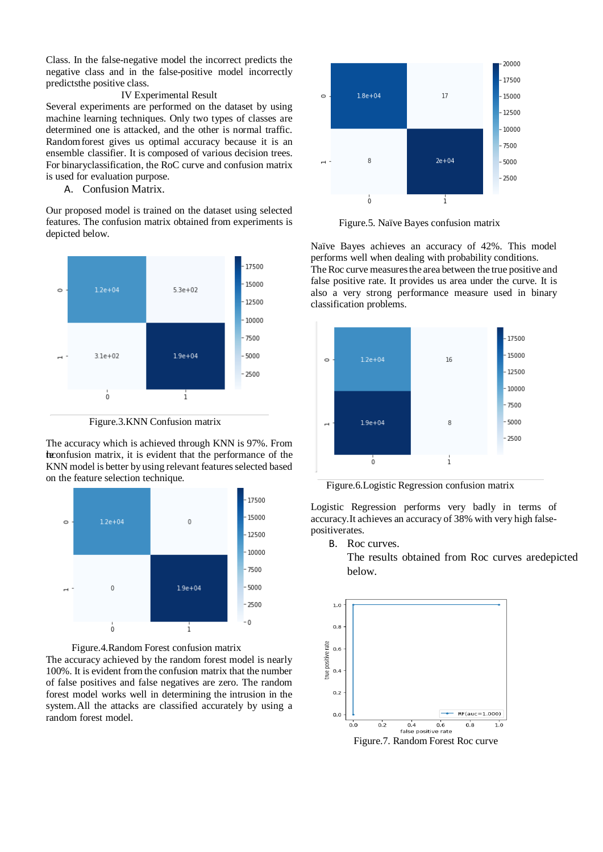Class. In the false-negative model the incorrect predicts the negative class and in the false-positive model incorrectly predictsthe positive class.

#### IV Experimental Result

Several experiments are performed on the dataset by using machine learning techniques. Only two types of classes are determined one is attacked, and the other is normal traffic. Randomforest gives us optimal accuracy because it is an ensemble classifier. It is composed of various decision trees. For binaryclassification, the RoC curve and confusion matrix is used for evaluation purpose.

A. Confusion Matrix.

Our proposed model is trained on the dataset using selected features. The confusion matrix obtained from experiments is depicted below.



Figure.3.KNN Confusion matrix

The accuracy which is achieved through KNN is 97%. From the confusion matrix, it is evident that the performance of the KNN model is better by using relevant features selected based on the feature selection technique.





The accuracy achieved by the random forest model is nearly 100%. It is evident fromthe confusion matrix that the number of false positives and false negatives are zero. The random forest model works well in determining the intrusion in the system.All the attacks are classified accurately by using a random forest model.



Figure.5. Naïve Bayes confusion matrix

Naïve Bayes achieves an accuracy of 42%. This model performs well when dealing with probability conditions. The Roc curve measures the area between the true positive and false positive rate. It provides us area under the curve. It is also a very strong performance measure used in binary classification problems.



Figure.6.Logistic Regression confusion matrix

Logistic Regression performs very badly in terms of accuracy.It achieves an accuracy of 38% with very high falsepositiverates.

B. Roc curves.

The results obtained from Roc curves aredepicted below.



Figure.7. Random Forest Roc curve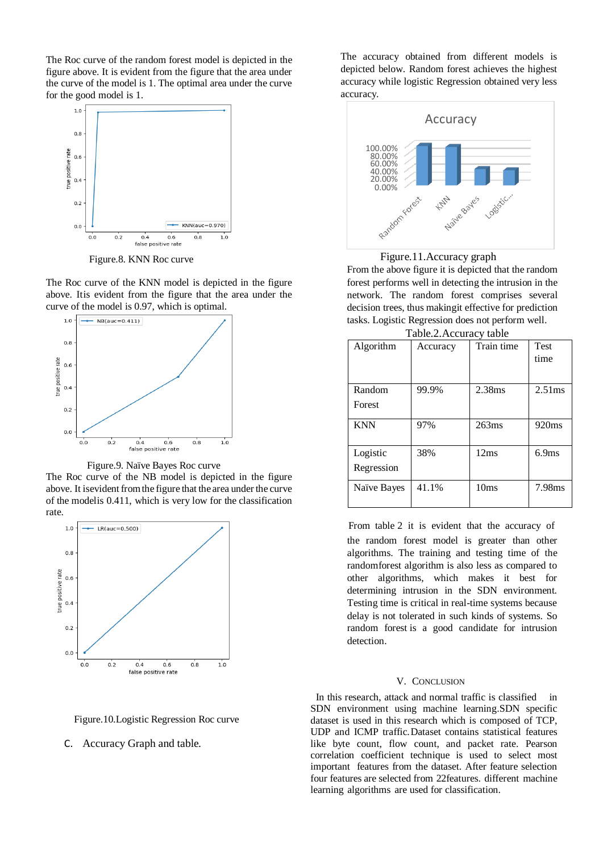The Roc curve of the random forest model is depicted in the figure above. It is evident from the figure that the area under the curve of the model is 1. The optimal area under the curve for the good model is 1.



Figure.8. KNN Roc curve

The Roc curve of the KNN model is depicted in the figure above. Itis evident from the figure that the area under the curve of the model is 0.97, which is optimal.



Figure.9. Naïve Bayes Roc curve

The Roc curve of the NB model is depicted in the figure above. It isevident fromthe figure that the area under the curve of the modelis 0.411, which is very low for the classification rate.





Figure.10.Logistic Regression Roc curve

C. Accuracy Graph and table.

The accuracy obtained from different models is depicted below. Random forest achieves the highest accuracy while logistic Regression obtained very less accuracy.



Figure.11.Accuracy graph

From the above figure it is depicted that the random forest performs well in detecting the intrusion in the network. The random forest comprises several decision trees, thus makingit effective for prediction tasks. Logistic Regression does not perform well.

| I avit. 2. Accuracy table |          |            |                   |  |
|---------------------------|----------|------------|-------------------|--|
| Algorithm                 | Accuracy | Train time | <b>Test</b>       |  |
|                           |          |            | time              |  |
|                           |          |            |                   |  |
| Random                    | 99.9%    | 2.38ms     | 2.51ms            |  |
| Forest                    |          |            |                   |  |
| <b>KNN</b>                | 97%      | 263ms      | 920 <sub>ms</sub> |  |
|                           |          |            |                   |  |
| Logistic                  | 38%      | 12ms       | 6.9ms             |  |
| Regression                |          |            |                   |  |
| Naïve Bayes               | 41.1%    | 10ms       | 7.98ms            |  |
|                           |          |            |                   |  |

 From table 2 it is evident that the accuracy of the random forest model is greater than other algorithms. The training and testing time of the randomforest algorithm is also less as compared to other algorithms, which makes it best for determining intrusion in the SDN environment. Testing time is critical in real-time systems because delay is not tolerated in such kinds of systems. So random forest is a good candidate for intrusion detection.

#### V. CONCLUSION

 In this research, attack and normal traffic is classified in SDN environment using machine learning.SDN specific dataset is used in this research which is composed of TCP, UDP and ICMP traffic.Dataset contains statistical features like byte count, flow count, and packet rate. Pearson correlation coefficient technique is used to select most important features from the dataset. After feature selection four features are selected from 22features. different machine learning algorithms are used for classification.